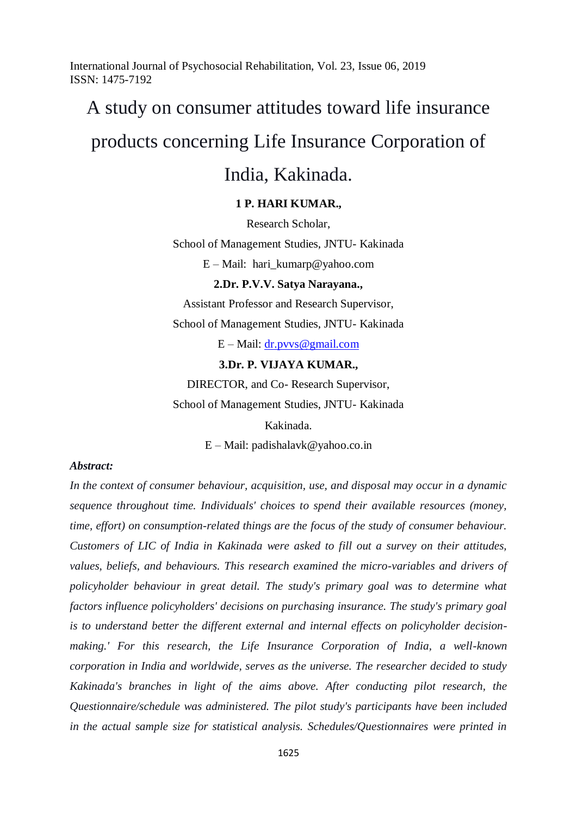# A study on consumer attitudes toward life insurance products concerning Life Insurance Corporation of

# India, Kakinada.

### **1 P. HARI KUMAR.,**

Research Scholar,

School of Management Studies, JNTU- Kakinada

E – Mail: hari\_kumarp@yahoo.com

#### **2.Dr. P.V.V. Satya Narayana.,**

Assistant Professor and Research Supervisor,

School of Management Studies, JNTU- Kakinada

E – Mail: [dr.pvvs@gmail.com](mailto:dr.pvvs@gmail.com)

#### **3.Dr. P. VIJAYA KUMAR.,**

DIRECTOR, and Co- Research Supervisor, School of Management Studies, JNTU- Kakinada

> Kakinada. E – Mail: padishalavk@yahoo.co.in

#### *Abstract:*

*In the context of consumer behaviour, acquisition, use, and disposal may occur in a dynamic sequence throughout time. Individuals' choices to spend their available resources (money, time, effort) on consumption-related things are the focus of the study of consumer behaviour. Customers of LIC of India in Kakinada were asked to fill out a survey on their attitudes, values, beliefs, and behaviours. This research examined the micro-variables and drivers of policyholder behaviour in great detail. The study's primary goal was to determine what factors influence policyholders' decisions on purchasing insurance. The study's primary goal is to understand better the different external and internal effects on policyholder decisionmaking.' For this research, the Life Insurance Corporation of India, a well-known corporation in India and worldwide, serves as the universe. The researcher decided to study Kakinada's branches in light of the aims above. After conducting pilot research, the Questionnaire/schedule was administered. The pilot study's participants have been included in the actual sample size for statistical analysis. Schedules/Questionnaires were printed in*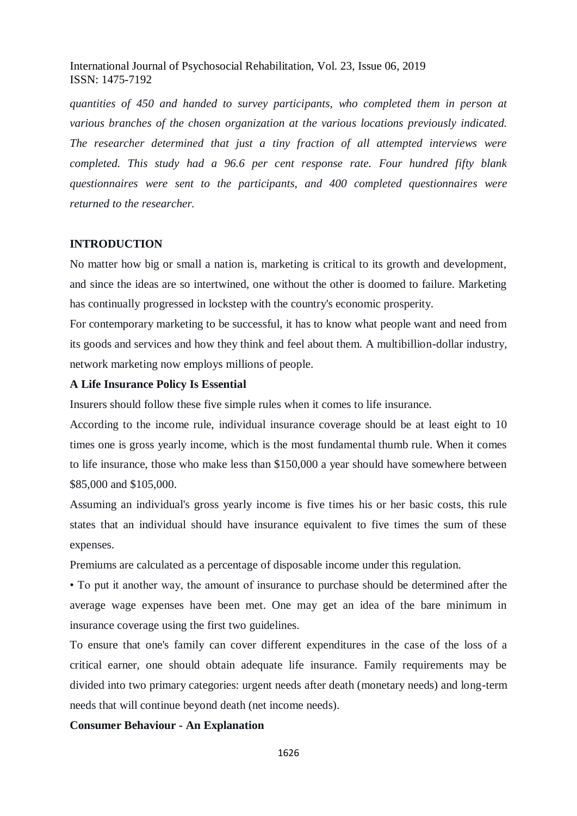*quantities of 450 and handed to survey participants, who completed them in person at various branches of the chosen organization at the various locations previously indicated. The researcher determined that just a tiny fraction of all attempted interviews were completed. This study had a 96.6 per cent response rate. Four hundred fifty blank questionnaires were sent to the participants, and 400 completed questionnaires were returned to the researcher.*

#### **INTRODUCTION**

No matter how big or small a nation is, marketing is critical to its growth and development, and since the ideas are so intertwined, one without the other is doomed to failure. Marketing has continually progressed in lockstep with the country's economic prosperity.

For contemporary marketing to be successful, it has to know what people want and need from its goods and services and how they think and feel about them. A multibillion-dollar industry, network marketing now employs millions of people.

#### **A Life Insurance Policy Is Essential**

Insurers should follow these five simple rules when it comes to life insurance.

According to the income rule, individual insurance coverage should be at least eight to 10 times one is gross yearly income, which is the most fundamental thumb rule. When it comes to life insurance, those who make less than \$150,000 a year should have somewhere between \$85,000 and \$105,000.

Assuming an individual's gross yearly income is five times his or her basic costs, this rule states that an individual should have insurance equivalent to five times the sum of these expenses.

Premiums are calculated as a percentage of disposable income under this regulation.

• To put it another way, the amount of insurance to purchase should be determined after the average wage expenses have been met. One may get an idea of the bare minimum in insurance coverage using the first two guidelines.

To ensure that one's family can cover different expenditures in the case of the loss of a critical earner, one should obtain adequate life insurance. Family requirements may be divided into two primary categories: urgent needs after death (monetary needs) and long-term needs that will continue beyond death (net income needs).

#### **Consumer Behaviour - An Explanation**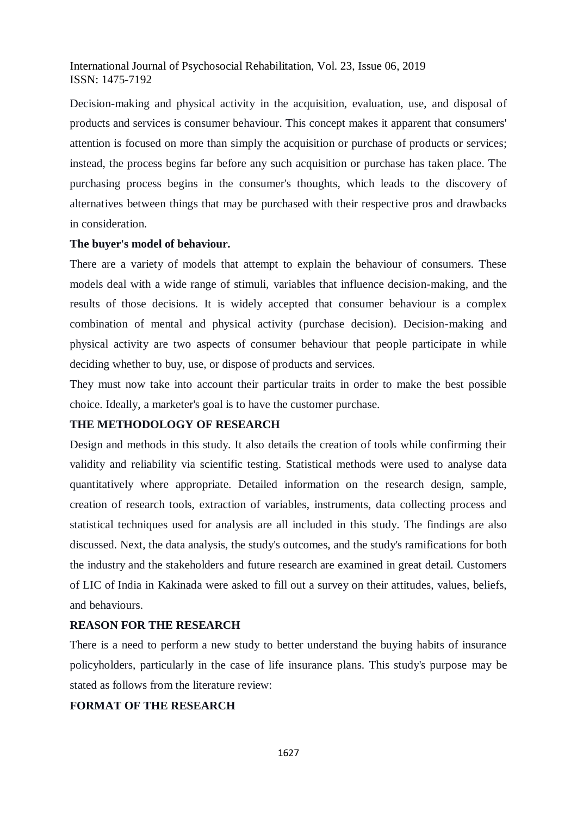Decision-making and physical activity in the acquisition, evaluation, use, and disposal of products and services is consumer behaviour. This concept makes it apparent that consumers' attention is focused on more than simply the acquisition or purchase of products or services; instead, the process begins far before any such acquisition or purchase has taken place. The purchasing process begins in the consumer's thoughts, which leads to the discovery of alternatives between things that may be purchased with their respective pros and drawbacks in consideration.

#### **The buyer's model of behaviour.**

There are a variety of models that attempt to explain the behaviour of consumers. These models deal with a wide range of stimuli, variables that influence decision-making, and the results of those decisions. It is widely accepted that consumer behaviour is a complex combination of mental and physical activity (purchase decision). Decision-making and physical activity are two aspects of consumer behaviour that people participate in while deciding whether to buy, use, or dispose of products and services.

They must now take into account their particular traits in order to make the best possible choice. Ideally, a marketer's goal is to have the customer purchase.

### **THE METHODOLOGY OF RESEARCH**

Design and methods in this study. It also details the creation of tools while confirming their validity and reliability via scientific testing. Statistical methods were used to analyse data quantitatively where appropriate. Detailed information on the research design, sample, creation of research tools, extraction of variables, instruments, data collecting process and statistical techniques used for analysis are all included in this study. The findings are also discussed. Next, the data analysis, the study's outcomes, and the study's ramifications for both the industry and the stakeholders and future research are examined in great detail. Customers of LIC of India in Kakinada were asked to fill out a survey on their attitudes, values, beliefs, and behaviours.

### **REASON FOR THE RESEARCH**

There is a need to perform a new study to better understand the buying habits of insurance policyholders, particularly in the case of life insurance plans. This study's purpose may be stated as follows from the literature review:

## **FORMAT OF THE RESEARCH**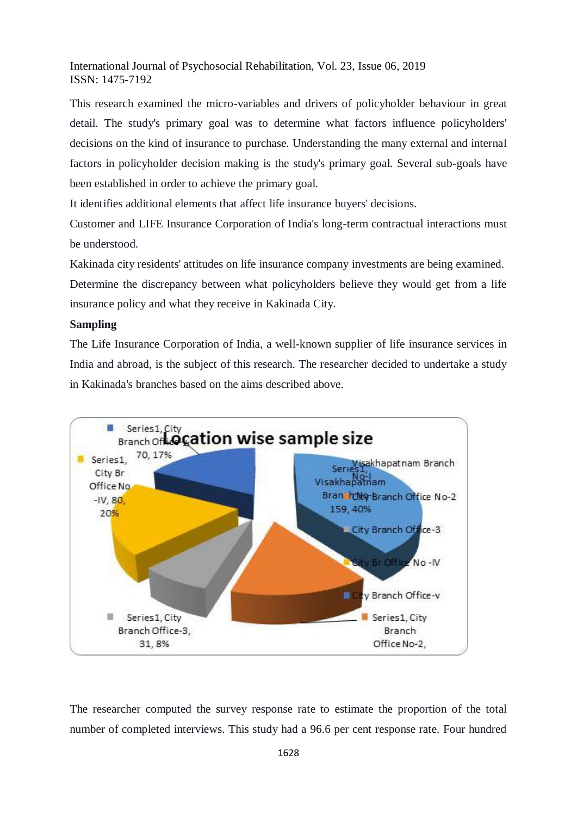This research examined the micro-variables and drivers of policyholder behaviour in great detail. The study's primary goal was to determine what factors influence policyholders' decisions on the kind of insurance to purchase. Understanding the many external and internal factors in policyholder decision making is the study's primary goal. Several sub-goals have been established in order to achieve the primary goal.

It identifies additional elements that affect life insurance buyers' decisions.

Customer and LIFE Insurance Corporation of India's long-term contractual interactions must be understood.

Kakinada city residents' attitudes on life insurance company investments are being examined. Determine the discrepancy between what policyholders believe they would get from a life insurance policy and what they receive in Kakinada City.

### **Sampling**

The Life Insurance Corporation of India, a well-known supplier of life insurance services in India and abroad, is the subject of this research. The researcher decided to undertake a study in Kakinada's branches based on the aims described above.



The researcher computed the survey response rate to estimate the proportion of the total number of completed interviews. This study had a 96.6 per cent response rate. Four hundred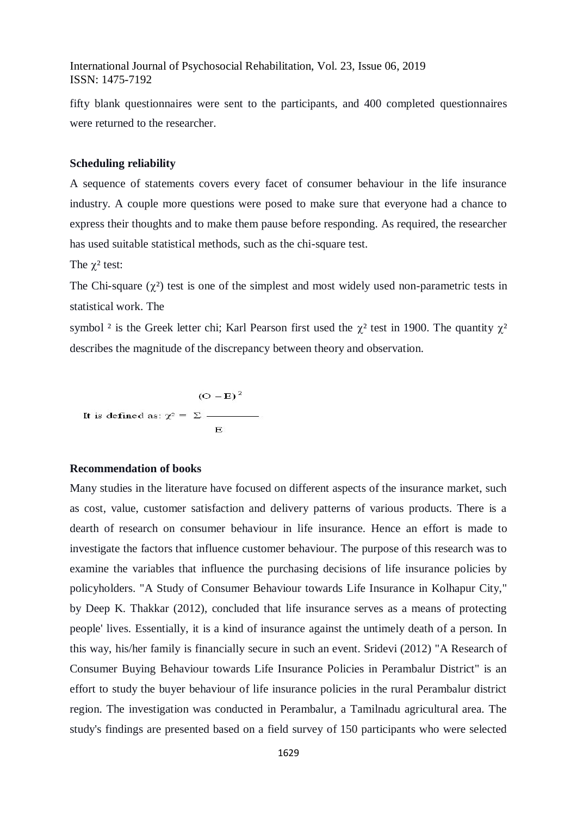fifty blank questionnaires were sent to the participants, and 400 completed questionnaires were returned to the researcher.

#### **Scheduling reliability**

A sequence of statements covers every facet of consumer behaviour in the life insurance industry. A couple more questions were posed to make sure that everyone had a chance to express their thoughts and to make them pause before responding. As required, the researcher has used suitable statistical methods, such as the chi-square test.

The  $\chi^2$  test:

The Chi-square  $(\chi^2)$  test is one of the simplest and most widely used non-parametric tests in statistical work. The

symbol <sup>2</sup> is the Greek letter chi; Karl Pearson first used the  $\chi^2$  test in 1900. The quantity  $\chi^2$ describes the magnitude of the discrepancy between theory and observation.

$$
(O - E)^2
$$
  
It is defined as:  $\chi^2 = \Sigma$ 

#### **Recommendation of books**

Many studies in the literature have focused on different aspects of the insurance market, such as cost, value, customer satisfaction and delivery patterns of various products. There is a dearth of research on consumer behaviour in life insurance. Hence an effort is made to investigate the factors that influence customer behaviour. The purpose of this research was to examine the variables that influence the purchasing decisions of life insurance policies by policyholders. "A Study of Consumer Behaviour towards Life Insurance in Kolhapur City," by Deep K. Thakkar (2012), concluded that life insurance serves as a means of protecting people' lives. Essentially, it is a kind of insurance against the untimely death of a person. In this way, his/her family is financially secure in such an event. Sridevi (2012) "A Research of Consumer Buying Behaviour towards Life Insurance Policies in Perambalur District" is an effort to study the buyer behaviour of life insurance policies in the rural Perambalur district region. The investigation was conducted in Perambalur, a Tamilnadu agricultural area. The study's findings are presented based on a field survey of 150 participants who were selected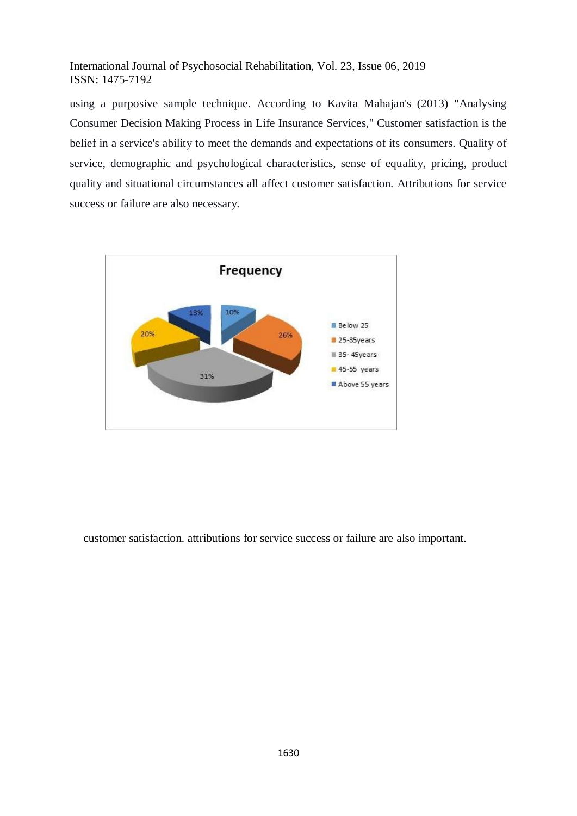using a purposive sample technique. According to Kavita Mahajan's (2013) "Analysing Consumer Decision Making Process in Life Insurance Services," Customer satisfaction is the belief in a service's ability to meet the demands and expectations of its consumers. Quality of service, demographic and psychological characteristics, sense of equality, pricing, product quality and situational circumstances all affect customer satisfaction. Attributions for service success or failure are also necessary.



customer satisfaction. attributions for service success or failure are also important.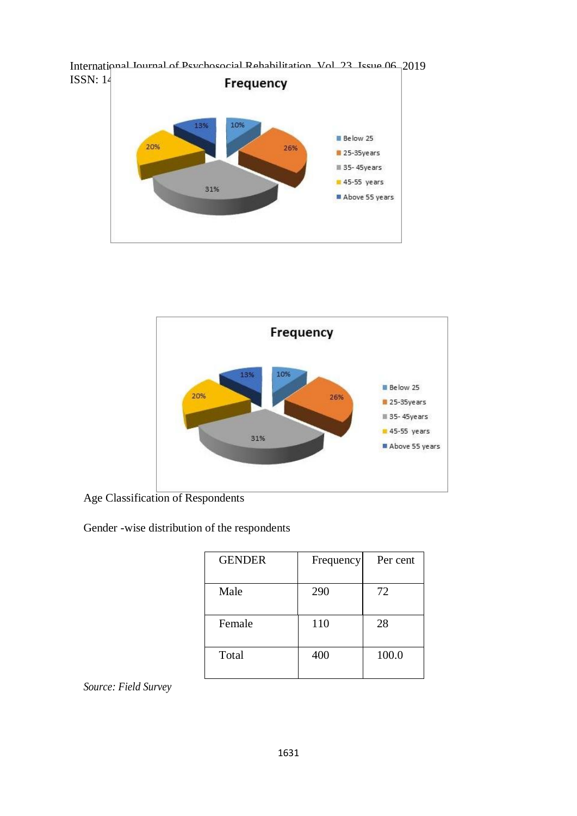



Age Classification of Respondents

Gender -wise distribution of the respondents

| <b>GENDER</b> | Frequency | Per cent |
|---------------|-----------|----------|
| Male          | 290       | 72       |
| Female        | 110       | 28       |
| Total         | 400       | 100.0    |

*Source: Field Survey*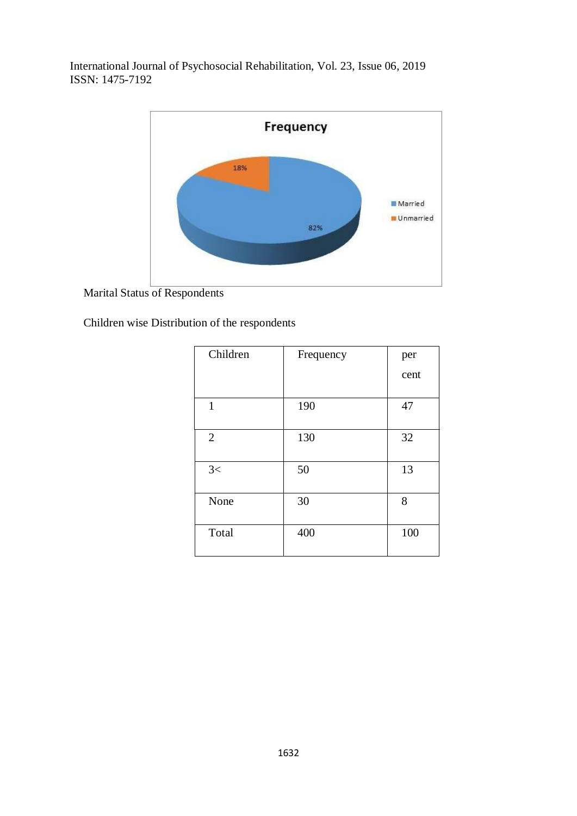

Marital Status of Respondents

Children wise Distribution of the respondents

| Children       | Frequency | per  |
|----------------|-----------|------|
|                |           | cent |
|                |           |      |
| $\mathbf{1}$   | 190       | 47   |
| $\overline{2}$ | 130       | 32   |
| 3<             | 50        | 13   |
| None           | 30        | 8    |
| Total          | 400       | 100  |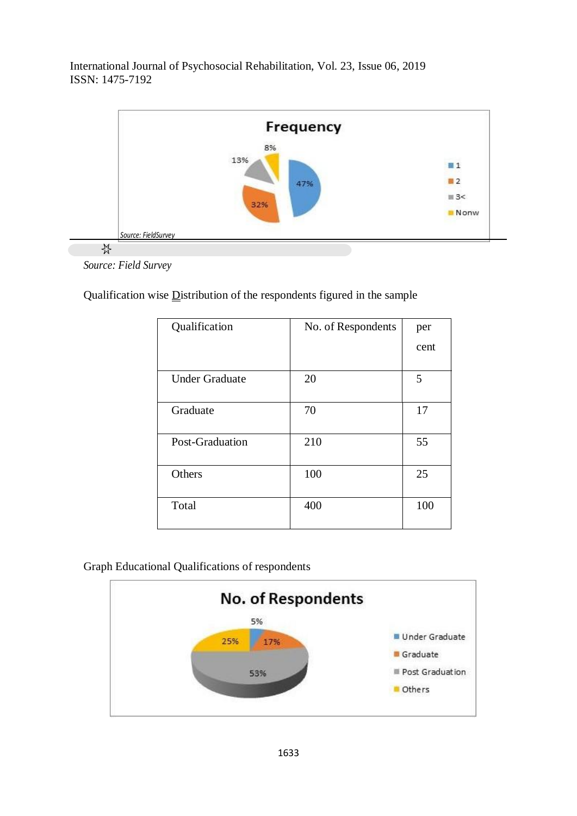



Qualification wise Distribution of the respondents figured in the sample

| Qualification         | No. of Respondents | per  |
|-----------------------|--------------------|------|
|                       |                    | cent |
| <b>Under Graduate</b> | 20                 | 5    |
| Graduate              | 70                 | 17   |
| Post-Graduation       | 210                | 55   |
| Others                | 100                | 25   |
| Total                 | 400                | 100  |

## Graph Educational Qualifications of respondents

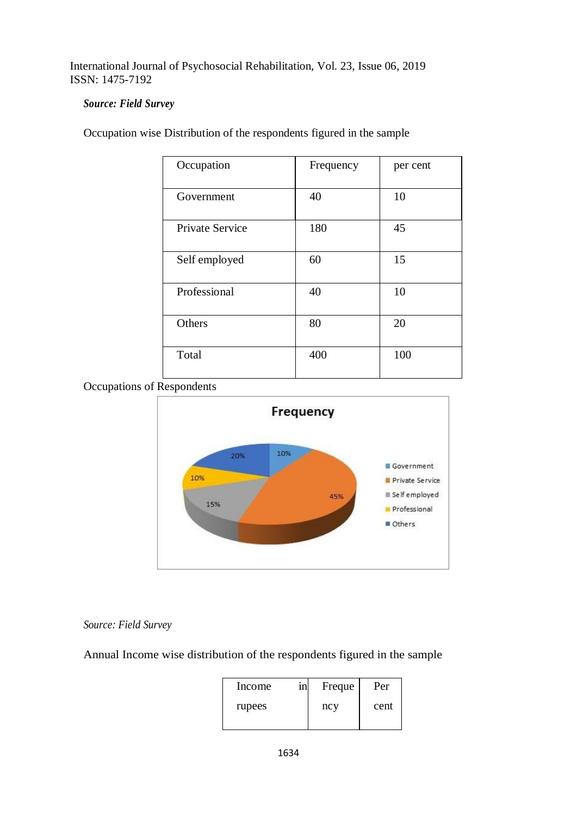## *Source: Field Survey*

| Occupation             | Frequency | per cent |
|------------------------|-----------|----------|
| Government             | 40        | 10       |
| <b>Private Service</b> | 180       | 45       |
| Self employed          | 60        | 15       |
| Professional           | 40        | 10       |
| Others                 | 80        | 20       |
| Total                  | 400       | 100      |

Occupation wise Distribution of the respondents figured in the sample

Occupations of Respondents



# *Source: Field Survey*

Annual Income wise distribution of the respondents figured in the sample

| Income | 1n | Freque | Per  |
|--------|----|--------|------|
| rupees |    | ncy    | cent |
|        |    |        |      |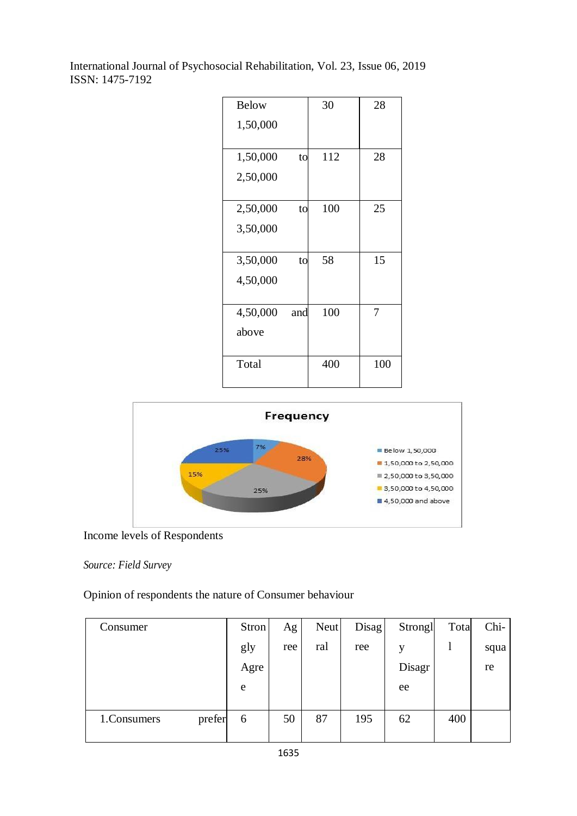| <b>Below</b> |     | 30  | 28  |
|--------------|-----|-----|-----|
| 1,50,000     |     |     |     |
| 1,50,000     | to  | 112 | 28  |
| 2,50,000     |     |     |     |
|              |     |     |     |
| 2,50,000     | to  | 100 | 25  |
| 3,50,000     |     |     |     |
|              |     |     |     |
| 3,50,000     | to  | 58  | 15  |
| 4,50,000     |     |     |     |
|              |     |     |     |
| 4,50,000     | and | 100 | 7   |
| above        |     |     |     |
|              |     |     |     |
| Total        |     | 400 | 100 |



# Income levels of Respondents

## *Source: Field Survey*

Opinion of respondents the nature of Consumer behaviour

| Consumer              | Stron | Ag  | Neut | Disag | Strongl | Tota | Chi- |
|-----------------------|-------|-----|------|-------|---------|------|------|
|                       | gly   | ree | ral  | ree   | v       |      | squa |
|                       | Agre  |     |      |       | Disagr  |      | re   |
|                       | e     |     |      |       | ee      |      |      |
|                       |       |     |      |       |         |      |      |
| prefer<br>1.Consumers | 6     | 50  | 87   | 195   | 62      | 400  |      |
|                       |       |     |      |       |         |      |      |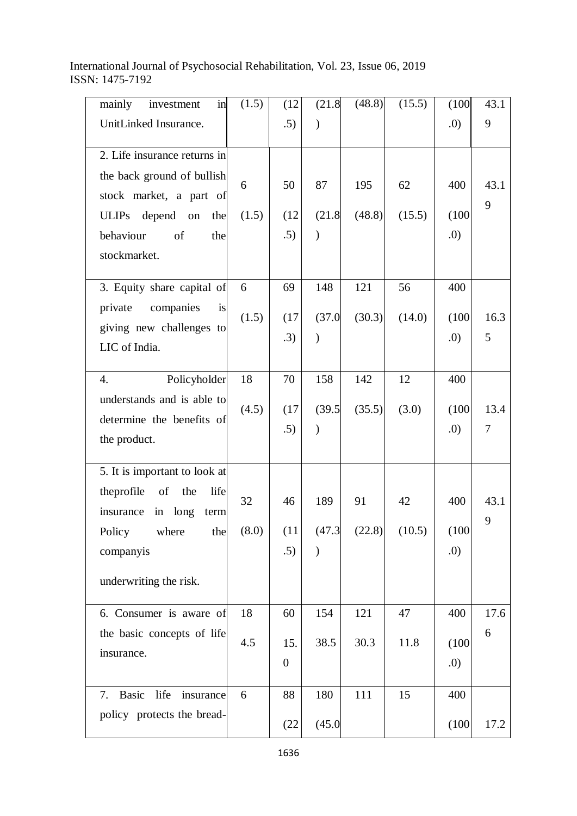| mainly<br>investment<br>in                            | (1.5) | (12)           | (21.8)        | (48.8) | (15.5) | (100) | 43.1 |
|-------------------------------------------------------|-------|----------------|---------------|--------|--------|-------|------|
| UnitLinked Insurance.                                 |       | .5)            |               |        |        | (0.   | 9    |
| 2. Life insurance returns in                          |       |                |               |        |        |       |      |
| the back ground of bullish<br>stock market, a part of | 6     | 50             | 87            | 195    | 62     | 400   | 43.1 |
| ULIPs depend on<br>the                                | (1.5) | (12)           | (21.8)        | (48.8) | (15.5) | (100) | 9    |
| behaviour<br>of<br>the                                |       | .5)            | $\mathcal{E}$ |        |        | (0.   |      |
| stockmarket.                                          |       |                |               |        |        |       |      |
|                                                       |       |                |               |        |        |       |      |
| 3. Equity share capital of                            | 6     | 69             | 148           | 121    | 56     | 400   |      |
| companies<br>private<br>is                            | (1.5) | (17)           | (37.0)        | (30.3) | (14.0) | (100) | 16.3 |
| giving new challenges to<br>LIC of India.             |       | .3)            | $\mathcal{E}$ |        |        | .0)   | 5    |
|                                                       |       |                |               |        |        |       |      |
| Policyholder<br>4.                                    | 18    | 70             | 158           | 142    | 12     | 400   |      |
| understands and is able to                            | (4.5) | (17)           | (39.5)        | (35.5) | (3.0)  | (100) | 13.4 |
| determine the benefits of                             |       | .5)            | $\mathcal{E}$ |        |        | .0)   | 7    |
| the product.                                          |       |                |               |        |        |       |      |
| 5. It is important to look at                         |       |                |               |        |        |       |      |
| theprofile<br>of<br>the<br>life                       |       |                |               |        |        |       |      |
| insurance in long<br>term                             | 32    | 46             | 189           | 91     | 42     | 400   | 43.1 |
| Policy<br>where the                                   | (8.0) | (11)           | (47.3)        | (22.8) | (10.5) | (100) | 9    |
| companyis                                             |       | .5)            | $\lambda$     |        |        | .0)   |      |
| underwriting the risk.                                |       |                |               |        |        |       |      |
|                                                       |       |                |               |        |        |       |      |
| 6. Consumer is aware of                               | 18    | 60             | 154           | 121    | 47     | 400   | 17.6 |
| the basic concepts of life                            | 4.5   | 15.            | 38.5          | 30.3   | 11.8   | (100) | 6    |
| insurance.                                            |       | $\overline{0}$ |               |        |        | .0)   |      |
|                                                       |       |                |               |        |        |       |      |
| 7. Basic life<br>insurance                            | 6     | 88             | 180           | 111    | 15     | 400   |      |
| policy protects the bread-                            |       | (22)           | (45.0)        |        |        | (100) | 17.2 |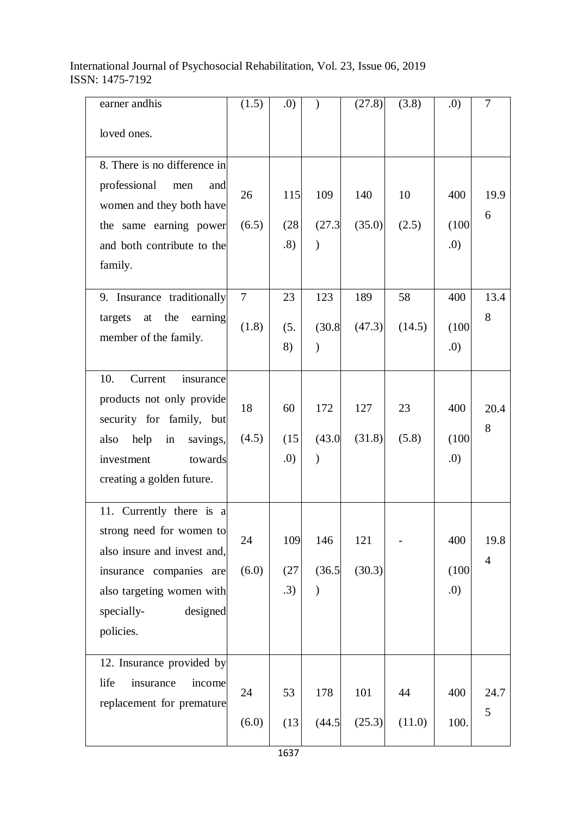| earner andhis                                        | (1.5)  | .0   |               | (27.8) | (3.8)  | .0)   | 7                      |
|------------------------------------------------------|--------|------|---------------|--------|--------|-------|------------------------|
| loved ones.                                          |        |      |               |        |        |       |                        |
| 8. There is no difference in                         |        |      |               |        |        |       |                        |
| professional<br>men<br>and                           | 26     | 115  | 109           | 140    | 10     | 400   | 19.9                   |
| women and they both have                             | (6.5)  | (28) | (27.3)        | (35.0) | (2.5)  | (100) | 6                      |
| the same earning power<br>and both contribute to the |        | .8)  | $\mathcal{E}$ |        |        | .0    |                        |
| family.                                              |        |      |               |        |        |       |                        |
|                                                      |        |      |               |        |        |       |                        |
| 9. Insurance traditionally                           | $\tau$ | 23   | 123           | 189    | 58     | 400   | 13.4                   |
| targets at the<br>earning                            | (1.8)  | (5.  | (30.8)        | (47.3) | (14.5) | (100) | 8                      |
| member of the family.                                |        | 8)   | $\mathcal{E}$ |        |        | (0.   |                        |
| 10.<br>Current<br>insurance                          |        |      |               |        |        |       |                        |
| products not only provide                            |        |      |               |        |        |       |                        |
| security for family, but                             | 18     | 60   | 172           | 127    | 23     | 400   | 20.4                   |
| help<br>savings,<br>also<br>in                       | (4.5)  | (15) | (43.0)        | (31.8) | (5.8)  | (100) | 8                      |
| investment<br>towards                                |        | .0)  | $\lambda$     |        |        | (0.   |                        |
| creating a golden future.                            |        |      |               |        |        |       |                        |
| 11. Currently there is a                             |        |      |               |        |        |       |                        |
| strong need for women to                             |        |      |               |        |        |       |                        |
| also insure and invest and,                          | 24     | 109  | 146           | 121    |        | 400   | 19.8<br>$\overline{4}$ |
| insurance companies are                              | (6.0)  | (27) | (36.5)        | (30.3) |        | (100) |                        |
| also targeting women with                            |        | .3)  | $\mathcal{E}$ |        |        | .0)   |                        |
| designed<br>specially-                               |        |      |               |        |        |       |                        |
| policies.                                            |        |      |               |        |        |       |                        |
| 12. Insurance provided by                            |        |      |               |        |        |       |                        |
| life<br>insurance<br>income                          | 24     | 53   | 178           | 101    | 44     | 400   | 24.7                   |
| replacement for premature                            |        |      |               |        |        |       | 5                      |
|                                                      | (6.0)  | (13) | (44.5)        | (25.3) | (11.0) | 100.  |                        |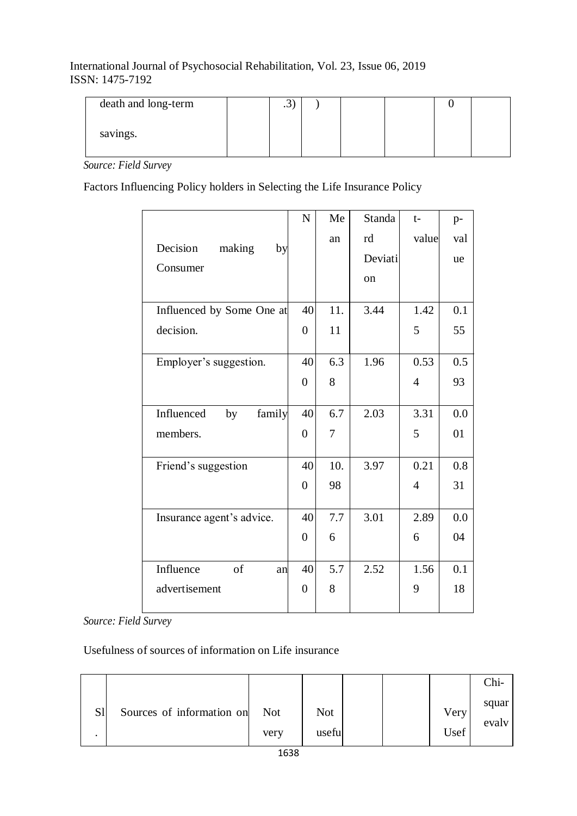| death and long-term | $\cdot$ |  |  |  |
|---------------------|---------|--|--|--|
| savings.            |         |  |  |  |

*Source: Field Survey*

Factors Influencing Policy holders in Selecting the Life Insurance Policy

|                            | $\mathbf N$    | Me  | <b>Standa</b> | $t-$           | $p-$ |
|----------------------------|----------------|-----|---------------|----------------|------|
| Decision<br>making         |                | an  | rd            | value          | val  |
| by<br>Consumer             |                |     | Deviati       |                | ue   |
|                            |                |     | on            |                |      |
|                            |                |     |               |                |      |
| Influenced by Some One at  | 40             | 11. | 3.44          | 1.42           | 0.1  |
| decision.                  | $\overline{0}$ | 11  |               | 5              | 55   |
| Employer's suggestion.     | 40             | 6.3 | 1.96          | 0.53           | 0.5  |
|                            | $\overline{0}$ | 8   |               | $\overline{4}$ | 93   |
|                            |                |     |               |                |      |
| family<br>Influenced<br>by | 40             | 6.7 | 2.03          | 3.31           | 0.0  |
| members.                   | $\overline{0}$ | 7   |               | 5              | 01   |
|                            |                |     |               |                |      |
| Friend's suggestion        | 40             | 10. | 3.97          | 0.21           | 0.8  |
|                            | $\overline{0}$ | 98  |               | $\overline{4}$ | 31   |
|                            |                |     |               |                |      |
| Insurance agent's advice.  | 40             | 7.7 | 3.01          | 2.89           | 0.0  |
|                            | $\overline{0}$ | 6   |               | 6              | 04   |
|                            |                |     |               |                |      |
| Influence<br>of<br>anl     | 40             | 5.7 | 2.52          | 1.56           | 0.1  |
| advertisement              | $\theta$       | 8   |               | 9              | 18   |
|                            |                |     |               |                |      |

*Source: Field Survey*

Usefulness of sources of information on Life insurance

|    |                           |                    |               |  |              | $Chi-$         |
|----|---------------------------|--------------------|---------------|--|--------------|----------------|
| S1 | Sources of information on | <b>Not</b><br>very | Not<br>useful |  | Very<br>Usef | squar<br>evaly |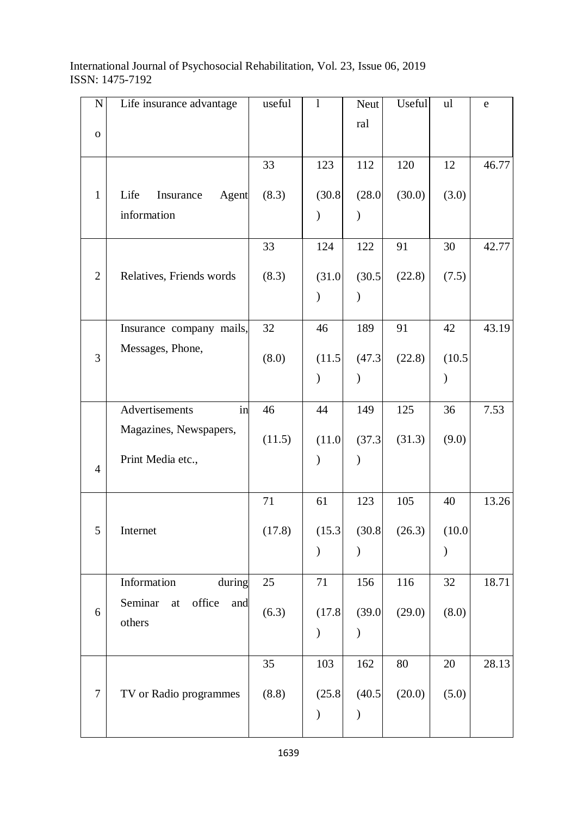| ${\bf N}$      | Life insurance advantage                        | useful | $\mathbf{l}$  | Neut          | Useful | ul            | e     |
|----------------|-------------------------------------------------|--------|---------------|---------------|--------|---------------|-------|
|                |                                                 |        |               | ral           |        |               |       |
| $\mathbf O$    |                                                 |        |               |               |        |               |       |
|                |                                                 | 33     | 123           | 112           | 120    | 12            | 46.77 |
|                |                                                 |        |               |               |        |               |       |
| $\mathbf{1}$   | Life<br>Insurance<br>Agent                      | (8.3)  | (30.8)        | (28.0)        | (30.0) | (3.0)         |       |
|                | information                                     |        | $\mathcal{E}$ | $\mathcal{E}$ |        |               |       |
|                |                                                 | 33     | 124           | 122           | 91     | 30            | 42.77 |
| $\overline{2}$ |                                                 |        |               |               |        |               |       |
|                | Relatives, Friends words                        | (8.3)  | (31.0)        | (30.5)        | (22.8) | (7.5)         |       |
|                |                                                 |        | ⟩             | $\mathcal{E}$ |        |               |       |
|                | Insurance company mails,                        | 32     | 46            | 189           | 91     | 42            | 43.19 |
| 3              | Messages, Phone,                                |        | (11.5)        | (47.3)        | (22.8) |               |       |
|                |                                                 | (8.0)  |               |               |        | (10.5)        |       |
|                |                                                 |        | $\mathcal{E}$ | $\mathcal{)}$ |        | $\mathcal{E}$ |       |
|                | Advertisements<br>in                            | 46     | 44            | 149           | 125    | 36            | 7.53  |
|                | Magazines, Newspapers,                          | (11.5) | (11.0)        | (37.3)        | (31.3) | (9.0)         |       |
|                | Print Media etc.,                               |        | ⟩             | $\mathcal{E}$ |        |               |       |
| $\overline{4}$ |                                                 |        |               |               |        |               |       |
|                |                                                 | 71     | 61            | 123           | 105    | 40            | 13.26 |
|                |                                                 |        |               |               |        |               |       |
| 5              | Internet                                        | (17.8) | (15.3)        | (30.8)        | (26.3) | (10.0)        |       |
|                |                                                 |        | $\lambda$     |               |        | $\lambda$     |       |
|                | Information<br>during                           | 25     | 71            | 156           | 116    | 32            | 18.71 |
|                |                                                 |        |               |               |        |               |       |
| 6              | office<br>Seminar<br>and<br>$\operatorname{at}$ | (6.3)  | (17.8)        | (39.0)        | (29.0) | (8.0)         |       |
|                | others                                          |        | $\mathcal{E}$ | $\mathcal{E}$ |        |               |       |
|                |                                                 |        |               |               |        |               |       |
|                |                                                 | 35     | 103           | 162           | 80     | 20            | 28.13 |
| $\tau$         | TV or Radio programmes                          | (8.8)  | (25.8)        | (40.5)        | (20.0) | (5.0)         |       |
|                |                                                 |        | $\mathcal{E}$ |               |        |               |       |
|                |                                                 |        |               |               |        |               |       |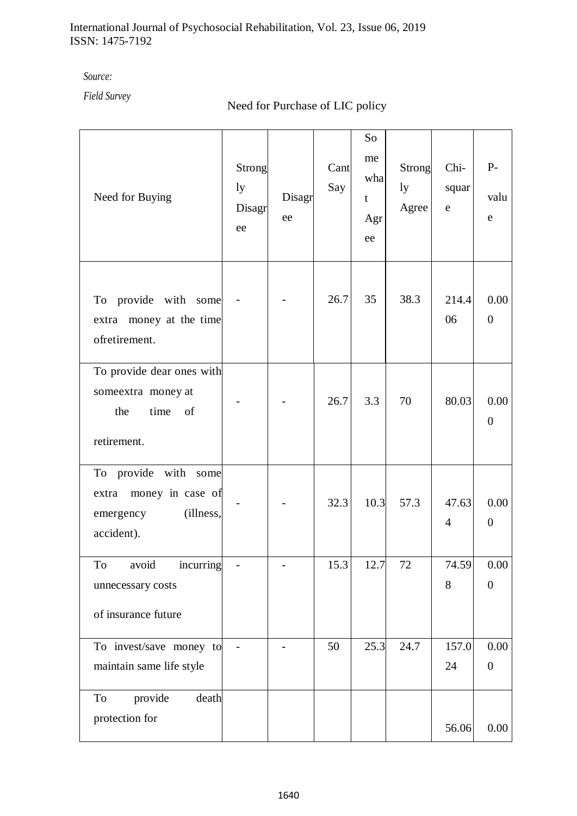*Source:* 

*Field Survey*

# Need for Purchase of LIC policy

| Need for Buying                                                                        | Strong<br>ly<br>Disagr<br>ee | Disagr<br>ee | Cant<br>Say | So<br>me<br>wha<br>t<br>Agr<br>ee | Strong<br>ly<br>Agree | Chi-<br>squar<br>${\bf e}$ | $P-$<br>valu<br>e      |
|----------------------------------------------------------------------------------------|------------------------------|--------------|-------------|-----------------------------------|-----------------------|----------------------------|------------------------|
| To provide with some<br>extra money at the time<br>ofretirement.                       |                              |              | 26.7        | 35                                | 38.3                  | 214.4<br>06                | 0.00<br>$\overline{0}$ |
| To provide dear ones with<br>someextra money at<br>the<br>time<br>of<br>retirement.    |                              |              | 26.7        | 3.3                               | 70                    | 80.03                      | 0.00<br>$\overline{0}$ |
| To provide with some<br>extra money in case of<br>(illness,<br>emergency<br>accident). |                              |              | 32.3        | 10.3                              | 57.3                  | 47.63<br>$\overline{4}$    | 0.00<br>$\overline{0}$ |
| To avoid incurring<br>unnecessary costs<br>of insurance future                         |                              |              | 15.3        | 12.7                              | 72                    | 74.59<br>8                 | 0.00<br>$\overline{0}$ |
| To invest/save money to<br>maintain same life style<br>To                              |                              |              | 50          | 25.3                              | 24.7                  | 157.0<br>24                | 0.00<br>$\overline{0}$ |
| provide<br>death<br>protection for                                                     |                              |              |             |                                   |                       | 56.06                      | 0.00                   |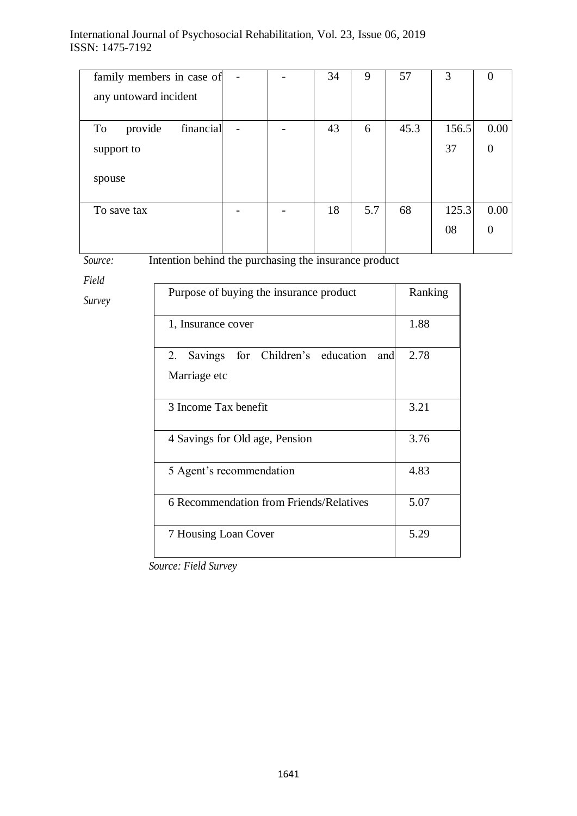| family members in case of  |  | 34 | 9   | 57   | 3     |                |
|----------------------------|--|----|-----|------|-------|----------------|
| any untoward incident      |  |    |     |      |       |                |
|                            |  |    |     |      |       |                |
| financial<br>provide<br>To |  | 43 | 6   | 45.3 | 156.5 | 0.00           |
| support to                 |  |    |     |      | 37    | $\overline{0}$ |
|                            |  |    |     |      |       |                |
| spouse                     |  |    |     |      |       |                |
|                            |  |    |     |      |       |                |
| To save tax                |  | 18 | 5.7 | 68   | 125.3 | 0.00           |
|                            |  |    |     |      | 08    | $\Omega$       |
|                            |  |    |     |      |       |                |

*Source:*  Intention behind the purchasing the insurance product

*Field* 

*Survey*

| Purpose of buying the insurance product                    | Ranking |
|------------------------------------------------------------|---------|
| 1, Insurance cover                                         | 1.88    |
| 2. Savings for Children's education<br>and<br>Marriage etc | 2.78    |
| 3 Income Tax benefit                                       | 3.21    |
| 4 Savings for Old age, Pension                             | 3.76    |
| 5 Agent's recommendation                                   | 4.83    |
| 6 Recommendation from Friends/Relatives                    | 5.07    |
| 7 Housing Loan Cover                                       | 5.29    |

*Source: Field Survey*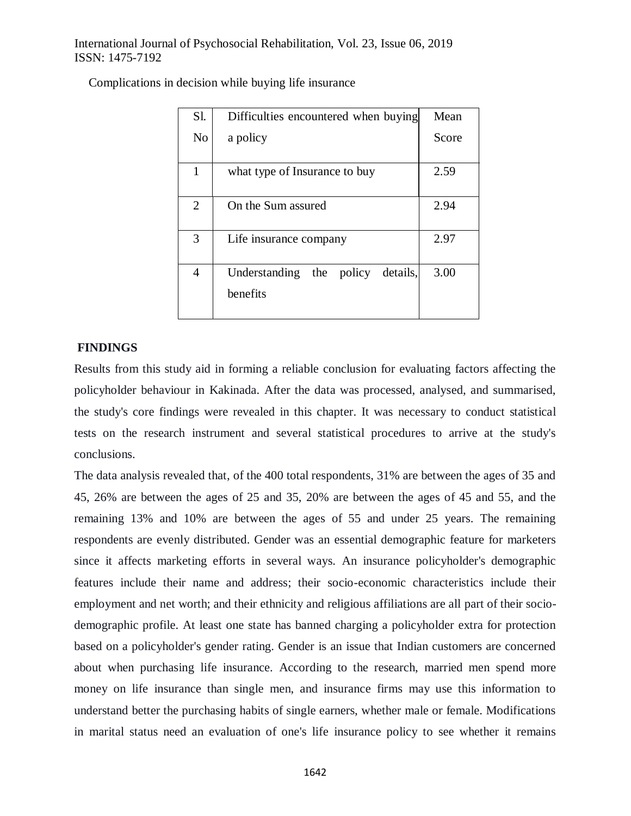| Sl.            | Difficulties encountered when buying          | Mean  |  |
|----------------|-----------------------------------------------|-------|--|
| N <sub>o</sub> | a policy                                      | Score |  |
|                |                                               |       |  |
| 1              | what type of Insurance to buy                 | 2.59  |  |
| $\overline{2}$ | On the Sum assured                            | 2.94  |  |
| 3              | Life insurance company                        | 2.97  |  |
| 4              | Understanding the policy details,<br>benefits | 3.00  |  |

## **FINDINGS**

Results from this study aid in forming a reliable conclusion for evaluating factors affecting the policyholder behaviour in Kakinada. After the data was processed, analysed, and summarised, the study's core findings were revealed in this chapter. It was necessary to conduct statistical tests on the research instrument and several statistical procedures to arrive at the study's conclusions.

The data analysis revealed that, of the 400 total respondents, 31% are between the ages of 35 and 45, 26% are between the ages of 25 and 35, 20% are between the ages of 45 and 55, and the remaining 13% and 10% are between the ages of 55 and under 25 years. The remaining respondents are evenly distributed. Gender was an essential demographic feature for marketers since it affects marketing efforts in several ways. An insurance policyholder's demographic features include their name and address; their socio-economic characteristics include their employment and net worth; and their ethnicity and religious affiliations are all part of their sociodemographic profile. At least one state has banned charging a policyholder extra for protection based on a policyholder's gender rating. Gender is an issue that Indian customers are concerned about when purchasing life insurance. According to the research, married men spend more money on life insurance than single men, and insurance firms may use this information to understand better the purchasing habits of single earners, whether male or female. Modifications in marital status need an evaluation of one's life insurance policy to see whether it remains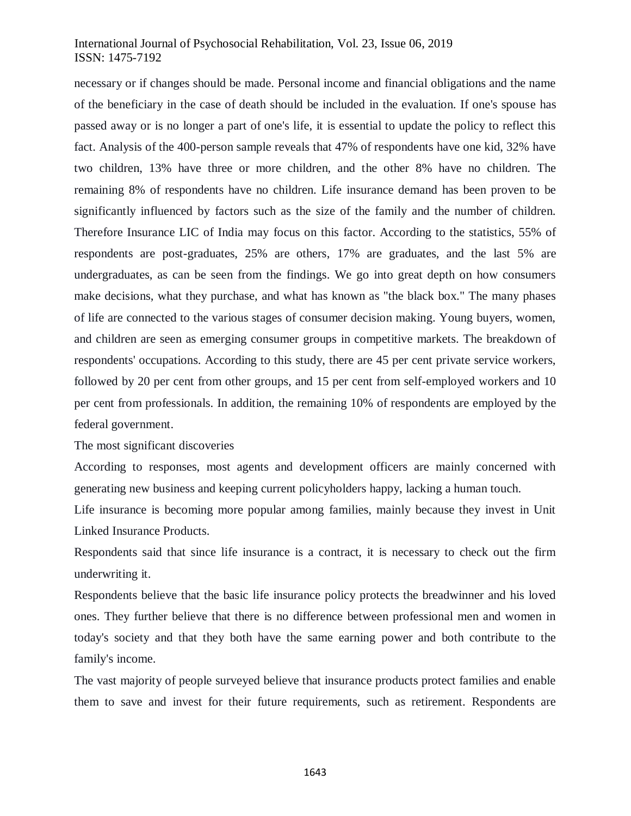necessary or if changes should be made. Personal income and financial obligations and the name of the beneficiary in the case of death should be included in the evaluation. If one's spouse has passed away or is no longer a part of one's life, it is essential to update the policy to reflect this fact. Analysis of the 400-person sample reveals that 47% of respondents have one kid, 32% have two children, 13% have three or more children, and the other 8% have no children. The remaining 8% of respondents have no children. Life insurance demand has been proven to be significantly influenced by factors such as the size of the family and the number of children. Therefore Insurance LIC of India may focus on this factor. According to the statistics, 55% of respondents are post-graduates, 25% are others, 17% are graduates, and the last 5% are undergraduates, as can be seen from the findings. We go into great depth on how consumers make decisions, what they purchase, and what has known as "the black box." The many phases of life are connected to the various stages of consumer decision making. Young buyers, women, and children are seen as emerging consumer groups in competitive markets. The breakdown of respondents' occupations. According to this study, there are 45 per cent private service workers, followed by 20 per cent from other groups, and 15 per cent from self-employed workers and 10 per cent from professionals. In addition, the remaining 10% of respondents are employed by the federal government.

The most significant discoveries

According to responses, most agents and development officers are mainly concerned with generating new business and keeping current policyholders happy, lacking a human touch.

Life insurance is becoming more popular among families, mainly because they invest in Unit Linked Insurance Products.

Respondents said that since life insurance is a contract, it is necessary to check out the firm underwriting it.

Respondents believe that the basic life insurance policy protects the breadwinner and his loved ones. They further believe that there is no difference between professional men and women in today's society and that they both have the same earning power and both contribute to the family's income.

The vast majority of people surveyed believe that insurance products protect families and enable them to save and invest for their future requirements, such as retirement. Respondents are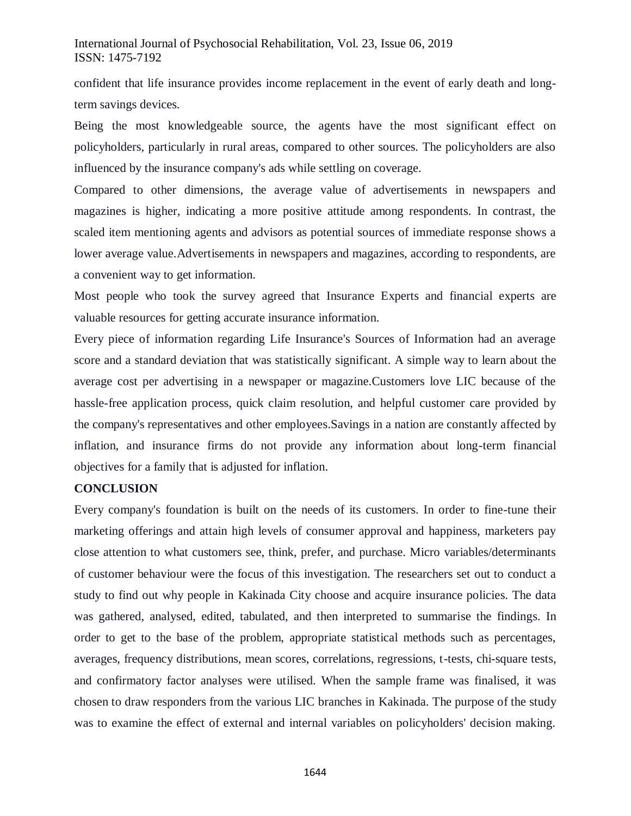confident that life insurance provides income replacement in the event of early death and longterm savings devices.

Being the most knowledgeable source, the agents have the most significant effect on policyholders, particularly in rural areas, compared to other sources. The policyholders are also influenced by the insurance company's ads while settling on coverage.

Compared to other dimensions, the average value of advertisements in newspapers and magazines is higher, indicating a more positive attitude among respondents. In contrast, the scaled item mentioning agents and advisors as potential sources of immediate response shows a lower average value.Advertisements in newspapers and magazines, according to respondents, are a convenient way to get information.

Most people who took the survey agreed that Insurance Experts and financial experts are valuable resources for getting accurate insurance information.

Every piece of information regarding Life Insurance's Sources of Information had an average score and a standard deviation that was statistically significant. A simple way to learn about the average cost per advertising in a newspaper or magazine.Customers love LIC because of the hassle-free application process, quick claim resolution, and helpful customer care provided by the company's representatives and other employees.Savings in a nation are constantly affected by inflation, and insurance firms do not provide any information about long-term financial objectives for a family that is adjusted for inflation.

#### **CONCLUSION**

Every company's foundation is built on the needs of its customers. In order to fine-tune their marketing offerings and attain high levels of consumer approval and happiness, marketers pay close attention to what customers see, think, prefer, and purchase. Micro variables/determinants of customer behaviour were the focus of this investigation. The researchers set out to conduct a study to find out why people in Kakinada City choose and acquire insurance policies. The data was gathered, analysed, edited, tabulated, and then interpreted to summarise the findings. In order to get to the base of the problem, appropriate statistical methods such as percentages, averages, frequency distributions, mean scores, correlations, regressions, t-tests, chi-square tests, and confirmatory factor analyses were utilised. When the sample frame was finalised, it was chosen to draw responders from the various LIC branches in Kakinada. The purpose of the study was to examine the effect of external and internal variables on policyholders' decision making.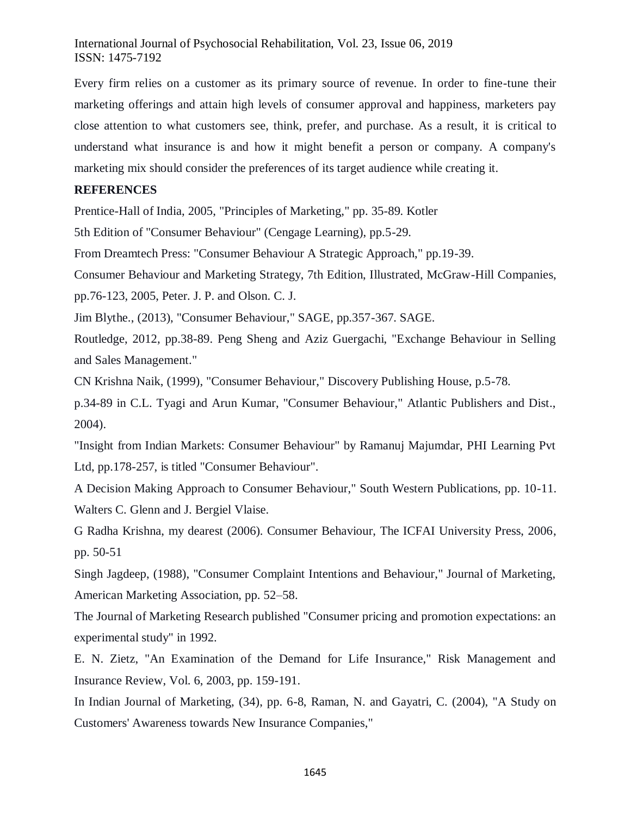Every firm relies on a customer as its primary source of revenue. In order to fine-tune their marketing offerings and attain high levels of consumer approval and happiness, marketers pay close attention to what customers see, think, prefer, and purchase. As a result, it is critical to understand what insurance is and how it might benefit a person or company. A company's marketing mix should consider the preferences of its target audience while creating it.

## **REFERENCES**

Prentice-Hall of India, 2005, "Principles of Marketing," pp. 35-89. Kotler

5th Edition of "Consumer Behaviour" (Cengage Learning), pp.5-29.

From Dreamtech Press: "Consumer Behaviour A Strategic Approach," pp.19-39.

Consumer Behaviour and Marketing Strategy, 7th Edition, Illustrated, McGraw-Hill Companies,

pp.76-123, 2005, Peter. J. P. and Olson. C. J.

Jim Blythe., (2013), "Consumer Behaviour," SAGE, pp.357-367. SAGE.

Routledge, 2012, pp.38-89. Peng Sheng and Aziz Guergachi, "Exchange Behaviour in Selling and Sales Management."

CN Krishna Naik, (1999), "Consumer Behaviour," Discovery Publishing House, p.5-78.

p.34-89 in C.L. Tyagi and Arun Kumar, "Consumer Behaviour," Atlantic Publishers and Dist., 2004).

"Insight from Indian Markets: Consumer Behaviour" by Ramanuj Majumdar, PHI Learning Pvt Ltd, pp.178-257, is titled "Consumer Behaviour".

A Decision Making Approach to Consumer Behaviour," South Western Publications, pp. 10-11. Walters C. Glenn and J. Bergiel Vlaise.

G Radha Krishna, my dearest (2006). Consumer Behaviour, The ICFAI University Press, 2006, pp. 50-51

Singh Jagdeep, (1988), "Consumer Complaint Intentions and Behaviour," Journal of Marketing, American Marketing Association, pp. 52–58.

The Journal of Marketing Research published "Consumer pricing and promotion expectations: an experimental study" in 1992.

E. N. Zietz, "An Examination of the Demand for Life Insurance," Risk Management and Insurance Review, Vol. 6, 2003, pp. 159-191.

In Indian Journal of Marketing, (34), pp. 6-8, Raman, N. and Gayatri, C. (2004), "A Study on Customers' Awareness towards New Insurance Companies,"